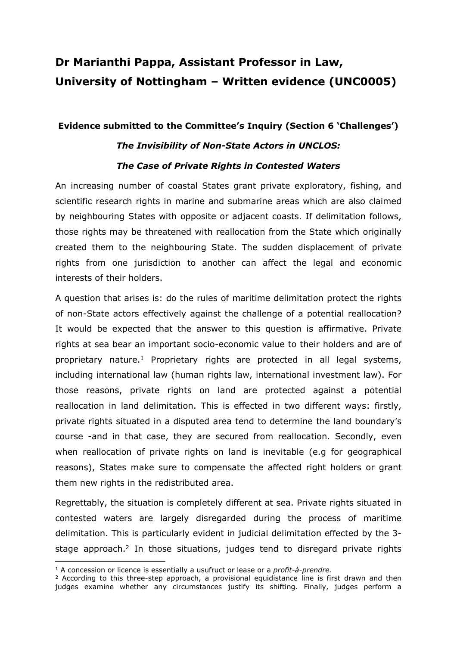## **Dr Marianthi Pappa, Assistant Professor in Law, University of Nottingham – Written evidence (UNC0005)**

## **Evidence submitted to the Committee's Inquiry (Section 6 'Challenges')**

## *The Invisibility of Non-State Actors in UNCLOS: The Case of Private Rights in Contested Waters*

An increasing number of coastal States grant private exploratory, fishing, and scientific research rights in marine and submarine areas which are also claimed by neighbouring States with opposite or adjacent coasts. If delimitation follows, those rights may be threatened with reallocation from the State which originally created them to the neighbouring State. The sudden displacement of private rights from one jurisdiction to another can affect the legal and economic interests of their holders.

A question that arises is: do the rules of maritime delimitation protect the rights of non-State actors effectively against the challenge of a potential reallocation? It would be expected that the answer to this question is affirmative. Private rights at sea bear an important socio-economic value to their holders and are of proprietary nature.<sup>1</sup> Proprietary rights are protected in all legal systems, including international law (human rights law, international investment law). For those reasons, private rights on land are protected against a potential reallocation in land delimitation. This is effected in two different ways: firstly, private rights situated in a disputed area tend to determine the land boundary's course -and in that case, they are secured from reallocation. Secondly, even when reallocation of private rights on land is inevitable (e.g for geographical reasons), States make sure to compensate the affected right holders or grant them new rights in the redistributed area.

Regrettably, the situation is completely different at sea. Private rights situated in contested waters are largely disregarded during the process of maritime delimitation. This is particularly evident in judicial delimitation effected by the 3 stage approach.<sup>2</sup> In those situations, judges tend to disregard private rights

<sup>1</sup> A concession or licence is essentially a usufruct or lease or a *profit-à-prendre.*

 $2$  According to this three-step approach, a provisional equidistance line is first drawn and then judges examine whether any circumstances justify its shifting. Finally, judges perform a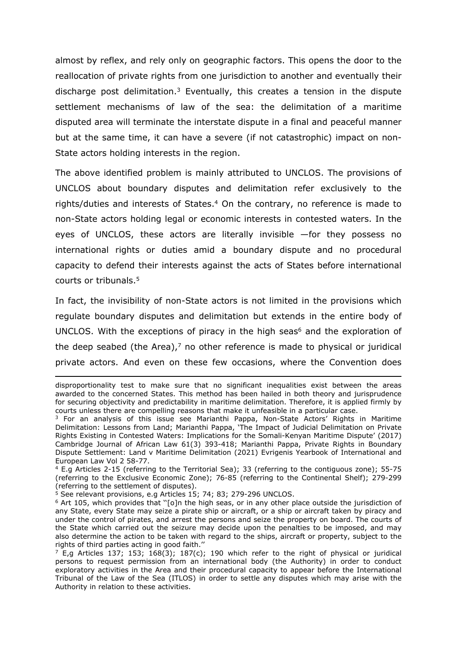almost by reflex, and rely only on geographic factors. This opens the door to the reallocation of private rights from one jurisdiction to another and eventually their discharge post delimitation.<sup>3</sup> Eventually, this creates a tension in the dispute settlement mechanisms of law of the sea: the delimitation of a maritime disputed area will terminate the interstate dispute in a final and peaceful manner but at the same time, it can have a severe (if not catastrophic) impact on non-State actors holding interests in the region.

The above identified problem is mainly attributed to UNCLOS. The provisions of UNCLOS about boundary disputes and delimitation refer exclusively to the rights/duties and interests of States.<sup>4</sup> On the contrary, no reference is made to non-State actors holding legal or economic interests in contested waters. In the eyes of UNCLOS, these actors are literally invisible —for they possess no international rights or duties amid a boundary dispute and no procedural capacity to defend their interests against the acts of States before international courts or tribunals.<sup>5</sup>

In fact, the invisibility of non-State actors is not limited in the provisions which regulate boundary disputes and delimitation but extends in the entire body of UNCLOS. With the exceptions of piracy in the high seas<sup>6</sup> and the exploration of the deep seabed (the Area), $<sup>7</sup>$  no other reference is made to physical or juridical</sup> private actors. And even on these few occasions, where the Convention does

disproportionality test to make sure that no significant inequalities exist between the areas awarded to the concerned States. This method has been hailed in both theory and jurisprudence for securing objectivity and predictability in maritime delimitation. Therefore, it is applied firmly by courts unless there are compelling reasons that make it unfeasible in a particular case.

<sup>&</sup>lt;sup>3</sup> For an analysis of this issue see Marianthi Pappa, Non-State Actors' Rights in Maritime Delimitation: Lessons from Land; Marianthi Pappa, 'The Impact of Judicial Delimitation on Private Rights Existing in Contested Waters: Implications for the Somali-Kenyan Maritime Dispute' (2017) Cambridge Journal of African Law 61(3) 393-418; Marianthi Pappa, Private Rights in Boundary Dispute Settlement: Land v Maritime Delimitation (2021) Evrigenis Yearbook of International and European Law Vol 2 58-77.

<sup>4</sup> E.g Articles 2-15 (referring to the Territorial Sea); 33 (referring to the contiguous zone); 55-75 (referring to the Exclusive Economic Zone); 76-85 (referring to the Continental Shelf); 279-299 (referring to the settlement of disputes).

 $5$  See relevant provisions, e.g Articles 15; 74; 83; 279-296 UNCLOS.

 $6$  Art 105, which provides that "[o]n the high seas, or in any other place outside the jurisdiction of any State, every State may seize a pirate ship or aircraft, or a ship or aircraft taken by piracy and under the control of pirates, and arrest the persons and seize the property on board. The courts of the State which carried out the seizure may decide upon the penalties to be imposed, and may also determine the action to be taken with regard to the ships, aircraft or property, subject to the rights of third parties acting in good faith.''

 $7$  E,g Articles 137; 153; 168(3); 187(c); 190 which refer to the right of physical or juridical persons to request permission from an international body (the Authority) in order to conduct exploratory activities in the Area and their procedural capacity to appear before the International Tribunal of the Law of the Sea (ITLOS) in order to settle any disputes which may arise with the Authority in relation to these activities.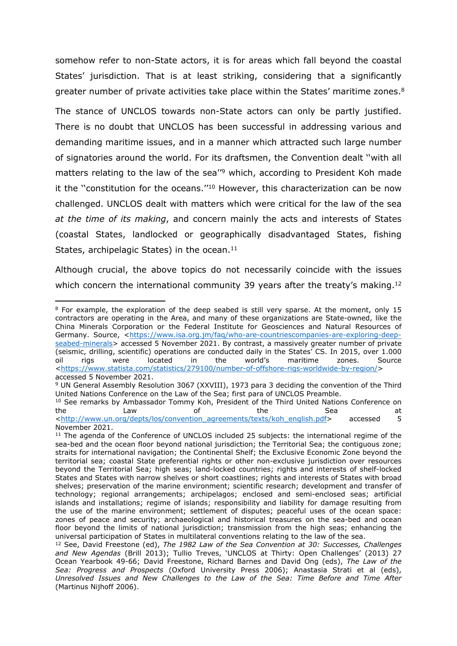somehow refer to non-State actors, it is for areas which fall beyond the coastal States' jurisdiction. That is at least striking, considering that a significantly greater number of private activities take place within the States' maritime zones.<sup>8</sup>

The stance of UNCLOS towards non-State actors can only be partly justified. There is no doubt that UNCLOS has been successful in addressing various and demanding maritime issues, and in a manner which attracted such large number of signatories around the world. For its draftsmen, the Convention dealt ''with all matters relating to the law of the sea"<sup>9</sup> which, according to President Koh made it the ''constitution for the oceans.''<sup>10</sup> However, this characterization can be now challenged. UNCLOS dealt with matters which were critical for the law of the sea *at the time of its making*, and concern mainly the acts and interests of States (coastal States, landlocked or geographically disadvantaged States, fishing States, archipelagic States) in the ocean.<sup>11</sup>

Although crucial, the above topics do not necessarily coincide with the issues which concern the international community 39 years after the treaty's making.<sup>12</sup>

<sup>8</sup> For example, the exploration of the deep seabed is still very sparse. At the moment, only 15 contractors are operating in the Area, and many of these organizations are State-owned, like the China Minerals Corporation or the Federal Institute for Geosciences and Natural Resources of Germany. Source, <[https://www.isa.org.jm/faq/who-are-countriescompanies-are-exploring-deep](https://www.isa.org.jm/faq/who-are-countriescompanies-are-exploring-deep-seabed-minerals)[seabed-minerals>](https://www.isa.org.jm/faq/who-are-countriescompanies-are-exploring-deep-seabed-minerals) accessed 5 November 2021. By contrast, a massively greater number of private (seismic, drilling, scientific) operations are conducted daily in the States' CS. In 2015, over 1.000 oil rigs were located in the world's maritime zones. Source [<https://www.statista.com/statistics/279100/number-of-offshore-rigs-worldwide-by-region/](https://www.statista.com/statistics/279100/number-of-offshore-rigs-worldwide-by-region/)> accessed 5 November 2021.

<sup>9</sup> UN General Assembly Resolution 3067 (XXVIII), 1973 para 3 deciding the convention of the Third United Nations Conference on the Law of the Sea; first para of UNCLOS Preamble.

<sup>&</sup>lt;sup>10</sup> See remarks by Ambassador Tommy Koh, President of the Third United Nations Conference on the Law of the Sea at [<http://www.un.org/depts/los/convention\\_agreements/texts/koh\\_english.pdf>](http://www.un.org/depts/los/convention_agreements/texts/koh_english.pdf) accessed 5 November 2021.

<sup>&</sup>lt;sup>11</sup> The agenda of the Conference of UNCLOS included 25 subjects: the international regime of the sea-bed and the ocean floor beyond national jurisdiction; the Territorial Sea; the contiguous zone; straits for international navigation; the Continental Shelf; the Exclusive Economic Zone beyond the territorial sea; coastal State preferential rights or other non-exclusive jurisdiction over resources beyond the Territorial Sea; high seas; land-locked countries; rights and interests of shelf-locked States and States with narrow shelves or short coastlines; rights and interests of States with broad shelves; preservation of the marine environment; scientific research; development and transfer of technology; regional arrangements; archipelagos; enclosed and semi-enclosed seas; artificial islands and installations; regime of islands; responsibility and liability for damage resulting from the use of the marine environment; settlement of disputes; peaceful uses of the ocean space: zones of peace and security; archaeological and historical treasures on the sea-bed and ocean floor beyond the limits of national jurisdiction; transmission from the high seas; enhancing the universal participation of States in multilateral conventions relating to the law of the sea.

<sup>12</sup> See, David Freestone (ed), *The 1982 Law of the Sea Convention at 30: Successes, Challenges and New Agendas* (Brill 2013); Tullio Treves, 'UNCLOS at Thirty: Open Challenges' (2013) 27 Ocean Yearbook 49-66; David Freestone, Richard Barnes and David Ong (eds), *The Law of the Sea: Progress and Prospects* (Oxford University Press 2006); Anastasia Strati et al (eds), *Unresolved Issues and New Challenges to the Law of the Sea: Time Before and Time After* (Martinus Nijhoff 2006).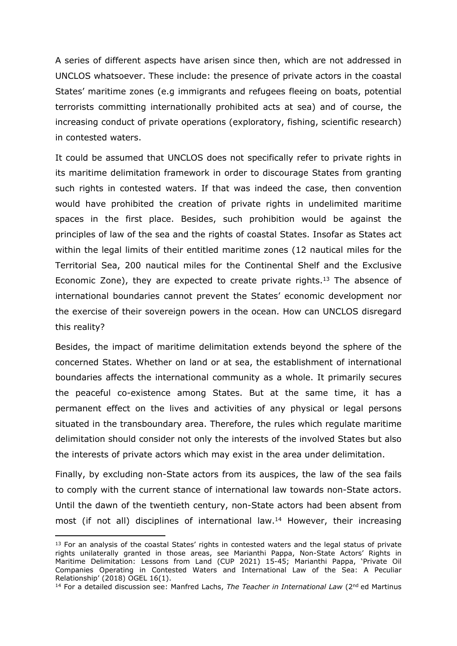A series of different aspects have arisen since then, which are not addressed in UNCLOS whatsoever. These include: the presence of private actors in the coastal States' maritime zones (e.g immigrants and refugees fleeing on boats, potential terrorists committing internationally prohibited acts at sea) and of course, the increasing conduct of private operations (exploratory, fishing, scientific research) in contested waters.

It could be assumed that UNCLOS does not specifically refer to private rights in its maritime delimitation framework in order to discourage States from granting such rights in contested waters. If that was indeed the case, then convention would have prohibited the creation of private rights in undelimited maritime spaces in the first place. Besides, such prohibition would be against the principles of law of the sea and the rights of coastal States. Insofar as States act within the legal limits of their entitled maritime zones (12 nautical miles for the Territorial Sea, 200 nautical miles for the Continental Shelf and the Exclusive Economic Zone), they are expected to create private rights.<sup>13</sup> The absence of international boundaries cannot prevent the States' economic development nor the exercise of their sovereign powers in the ocean. How can UNCLOS disregard this reality?

Besides, the impact of maritime delimitation extends beyond the sphere of the concerned States. Whether on land or at sea, the establishment of international boundaries affects the international community as a whole. It primarily secures the peaceful co-existence among States. But at the same time, it has a permanent effect on the lives and activities of any physical or legal persons situated in the transboundary area. Therefore, the rules which regulate maritime delimitation should consider not only the interests of the involved States but also the interests of private actors which may exist in the area under delimitation.

Finally, by excluding non-State actors from its auspices, the law of the sea fails to comply with the current stance of international law towards non-State actors. Until the dawn of the twentieth century, non-State actors had been absent from most (if not all) disciplines of international law.<sup>14</sup> However, their increasing

<sup>&</sup>lt;sup>13</sup> For an analysis of the coastal States' rights in contested waters and the legal status of private rights unilaterally granted in those areas, see Marianthi Pappa, Non-State Actors' Rights in Maritime Delimitation: Lessons from Land (CUP 2021) 15-45; Marianthi Pappa, 'Private Oil Companies Operating in Contested Waters and International Law of the Sea: A Peculiar Relationship' (2018) OGEL 16(1).

<sup>14</sup> For a detailed discussion see: Manfred Lachs, *The Teacher in International Law* (2nd ed Martinus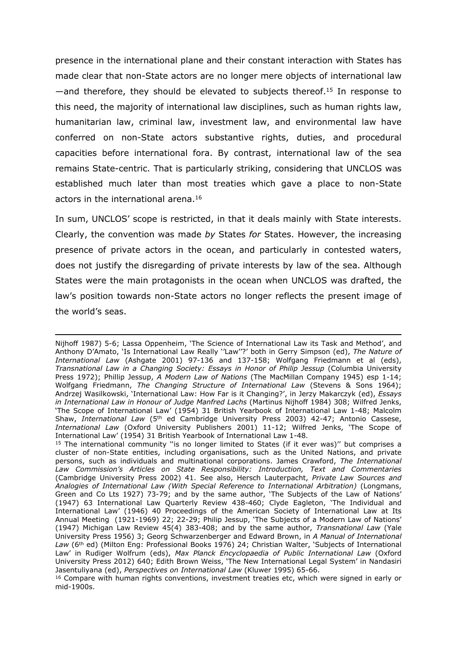presence in the international plane and their constant interaction with States has made clear that non-State actors are no longer mere objects of international law  $-$ and therefore, they should be elevated to subjects thereof.<sup>15</sup> In response to this need, the majority of international law disciplines, such as human rights law, humanitarian law, criminal law, investment law, and environmental law have conferred on non-State actors substantive rights, duties, and procedural capacities before international fora. By contrast, international law of the sea remains State-centric. That is particularly striking, considering that UNCLOS was established much later than most treaties which gave a place to non-State actors in the international arena.<sup>16</sup>

In sum, UNCLOS' scope is restricted, in that it deals mainly with State interests. Clearly, the convention was made *by* States *for* States. However, the increasing presence of private actors in the ocean, and particularly in contested waters, does not justify the disregarding of private interests by law of the sea. Although States were the main protagonists in the ocean when UNCLOS was drafted, the law's position towards non-State actors no longer reflects the present image of the world's seas.

Nijhoff 1987) 5-6; Lassa Oppenheim, 'The Science of International Law its Task and Method', and Anthony D'Amato, 'Is International Law Really ''Law''?' both in Gerry Simpson (ed), *The Nature of International Law* (Ashgate 2001) 97-136 and 137-158; Wolfgang Friedmann et al (eds), *Transnational Law in a Changing Society: Essays in Honor of Philip Jessup* (Columbia University Press 1972); Phillip Jessup, *A Modern Law of Nations* (The MacMillan Company 1945) esp 1-14; Wolfgang Friedmann, *The Changing Structure of International Law* (Stevens & Sons 1964); Andrzej Wasilkowski, 'International Law: How Far is it Changing?', in Jerzy Makarczyk (ed), *Essays in International Law in Honour of Judge Manfred Lachs* (Martinus Nijhoff 1984) 308; Wilfred Jenks, 'The Scope of International Law' (1954) 31 British Yearbook of International Law 1-48; Malcolm Shaw, *International Law* (5<sup>th</sup> ed Cambridge University Press 2003) 42-47; Antonio Cassese, *International Law* (Oxford University Publishers 2001) 11-12; Wilfred Jenks, 'The Scope of International Law' (1954) 31 British Yearbook of International Law 1-48.

<sup>&</sup>lt;sup>15</sup> The international community "is no longer limited to States (if it ever was)" but comprises a cluster of non-State entities, including organisations, such as the United Nations, and private persons, such as individuals and multinational corporations. James Crawford, *The International Law Commission's Articles on State Responsibility: Introduction, Text and Commentaries* (Cambridge University Press 2002) 41. See also, Hersch Lauterpacht, *Private Law Sources and Analogies of International Law (With Special Reference to International Arbitration)* (Longmans, Green and Co Lts 1927) 73-79; and by the same author, 'The Subjects of the Law of Nations' (1947) 63 International Law Quarterly Review 438-460; Clyde Eagleton, 'The Individual and International Law' (1946) 40 Proceedings of the American Society of International Law at Its Annual Meeting (1921-1969) 22; 22-29; Philip Jessup, 'The Subjects of a Modern Law of Nations' (1947) Michigan Law Review 45(4) 383-408; and by the same author, *Transnational Law* (Yale University Press 1956) 3; Georg Schwarzenberger and Edward Brown, in *A Manual of International* Law (6<sup>th</sup> ed) (Milton Eng: Professional Books 1976) 24; Christian Walter, 'Subjects of International Law' in Rudiger Wolfrum (eds), *Max Planck Encyclopaedia of Public International Law* (Oxford University Press 2012) 640; Edith Brown Weiss, 'The New International Legal System' in Nandasiri Jasentuliyana (ed), *Perspectives on International Law* (Kluwer 1995) 65-66.

<sup>&</sup>lt;sup>16</sup> Compare with human rights conventions, investment treaties etc, which were signed in early or mid-1900s.